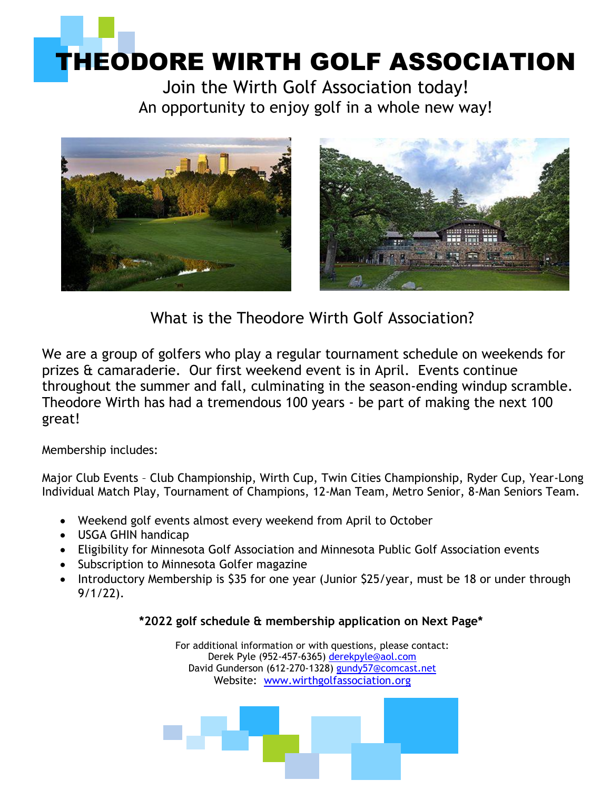# THEODORE WIRTH GOLF ASSOCIATION

Join the Wirth Golf Association today! An opportunity to enjoy golf in a whole new way!





What is the Theodore Wirth Golf Association?

We are a group of golfers who play a regular tournament schedule on weekends for prizes & camaraderie. Our first weekend event is in April. Events continue throughout the summer and fall, culminating in the season-ending windup scramble. Theodore Wirth has had a tremendous 100 years - be part of making the next 100 great!

Membership includes:

Major Club Events – Club Championship, Wirth Cup, Twin Cities Championship, Ryder Cup, Year-Long Individual Match Play, Tournament of Champions, 12-Man Team, Metro Senior, 8-Man Seniors Team.

- Weekend golf events almost every weekend from April to October
- USGA GHIN handicap
- Eligibility for Minnesota Golf Association and Minnesota Public Golf Association events
- Subscription to Minnesota Golfer magazine
- Introductory Membership is \$35 for one year (Junior \$25/year, must be 18 or under through 9/1/22).

### **\*2022 golf schedule & membership application on Next Page\***

For additional information or with questions, please contact: Derek Pyle (952-457-6365) [derekpyle@aol.com](mailto:derekpyle@aol.com) David Gunderson (612-270-1328) [gundy57@comcast.net](mailto:gundy57@comcast.net) Website: www.wirthgolfassociation.org